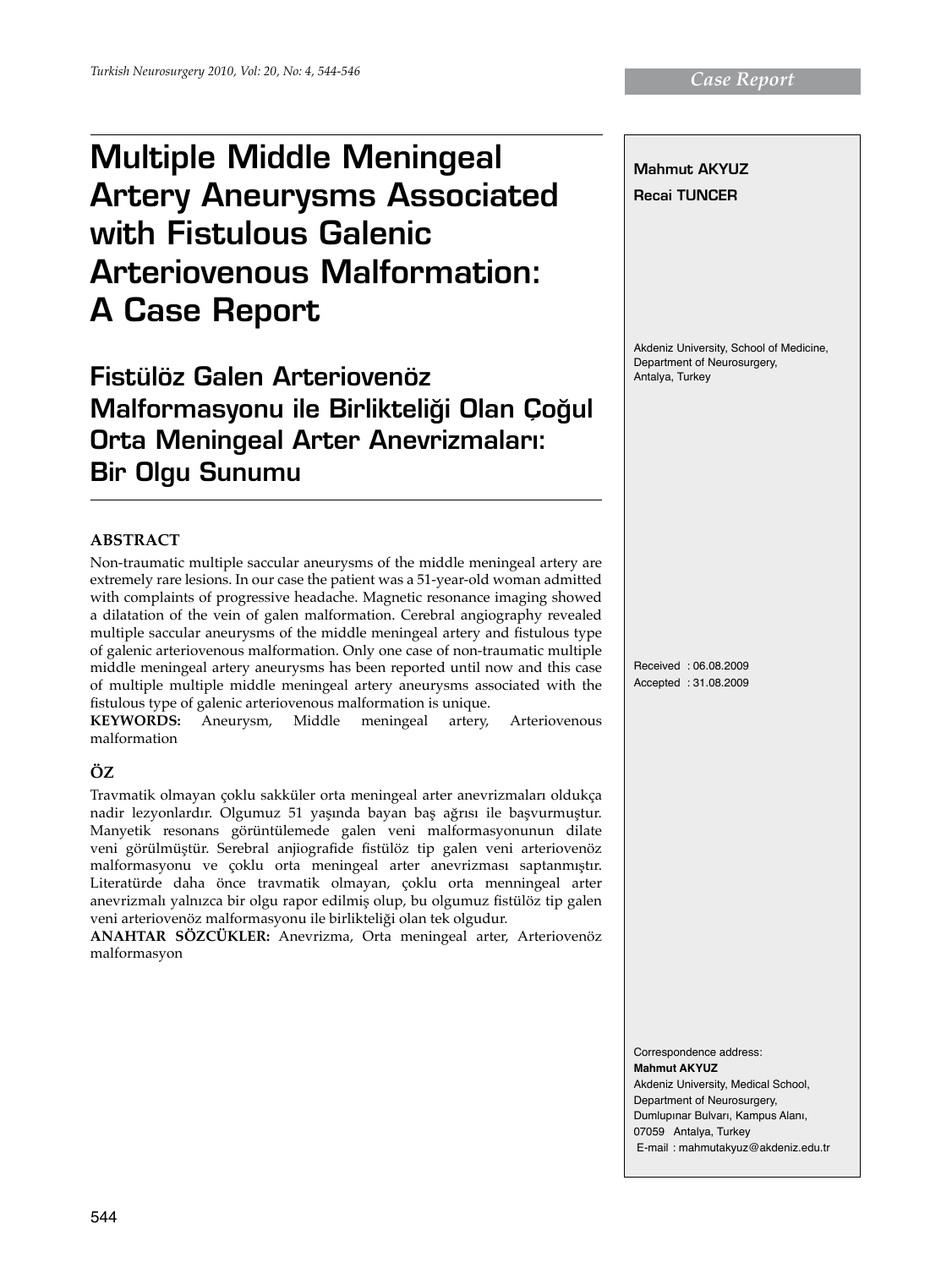# Multiple Middle Meningeal Artery Aneurysms Associated with Fistulous Galenic Arteriovenous Malformation: A Case Report

Fistülöz Galen Arteriovenöz Malformasyonu ile Birlikteliği Olan Çoğul **Orta Meningeal Arter Anevrizmaları:** Bir Olgu Sunumu

## **ABSTRACT**

Non-traumatic multiple saccular aneurysms of the middle meningeal artery are extremely rare lesions. In our case the patient was a 51-year-old woman admitted with complaints of progressive headache. Magnetic resonance imaging showed a dilatation of the vein of galen malformation. Cerebral angiography revealed multiple saccular aneurysms of the middle meningeal artery and fistulous type of galenic arteriovenous malformation. Only one case of non-traumatic multiple middle meningeal artery aneurysms has been reported until now and this case of multiple multiple middle meningeal artery aneurysms associated with the fistulous type of galenic arteriovenous malformation is unique.<br> **KEYWORDS:** Aneurysm, Middle meningeal artery,

Aneurysm, Middle meningeal artery, Arteriovenous malformation

## **ÖZ**

Travmatik olmayan çoklu sakküler orta meningeal arter anevrizmaları oldukça nadir lezyonlardır. Olgumuz 51 yaşında bayan baş ağrısı ile başvurmuştur. Manyetik resonans görüntülemede galen veni malformasyonunun dilate veni görülmüştür. Serebral anjiografide fistülöz tip galen veni arteriovenöz malformasyonu ve çoklu orta meningeal arter anevrizması saptanmıştır. Literatürde daha önce travmatik olmayan, çoklu orta menningeal arter anevrizmalı yalnızca bir olgu rapor edilmiş olup, bu olgumuz fistülöz tip galen veni arteriovenöz malformasyonu ile birlikteliği olan tek olgudur.

**ANAHTAR SÖZCÜKLER:** Anevrizma, Orta meningeal arter, Arteriovenöz malformasyon

Mahmut Akyuz Recai Tuncer Akdeniz University, School of Medicine, Department of Neurosurgery, Antalya, Turkey Received : 06.08.2009 Accepted : 31.08.2009 Correspondence address:

**Mahmut Akyuz**  Akdeniz University, Medical School, Department of Neurosurgery, Dumlupınar Bulvarı, Kampus Alanı, 07059 Antalya, Turkey E-mail : mahmutakyuz@akdeniz.edu.tr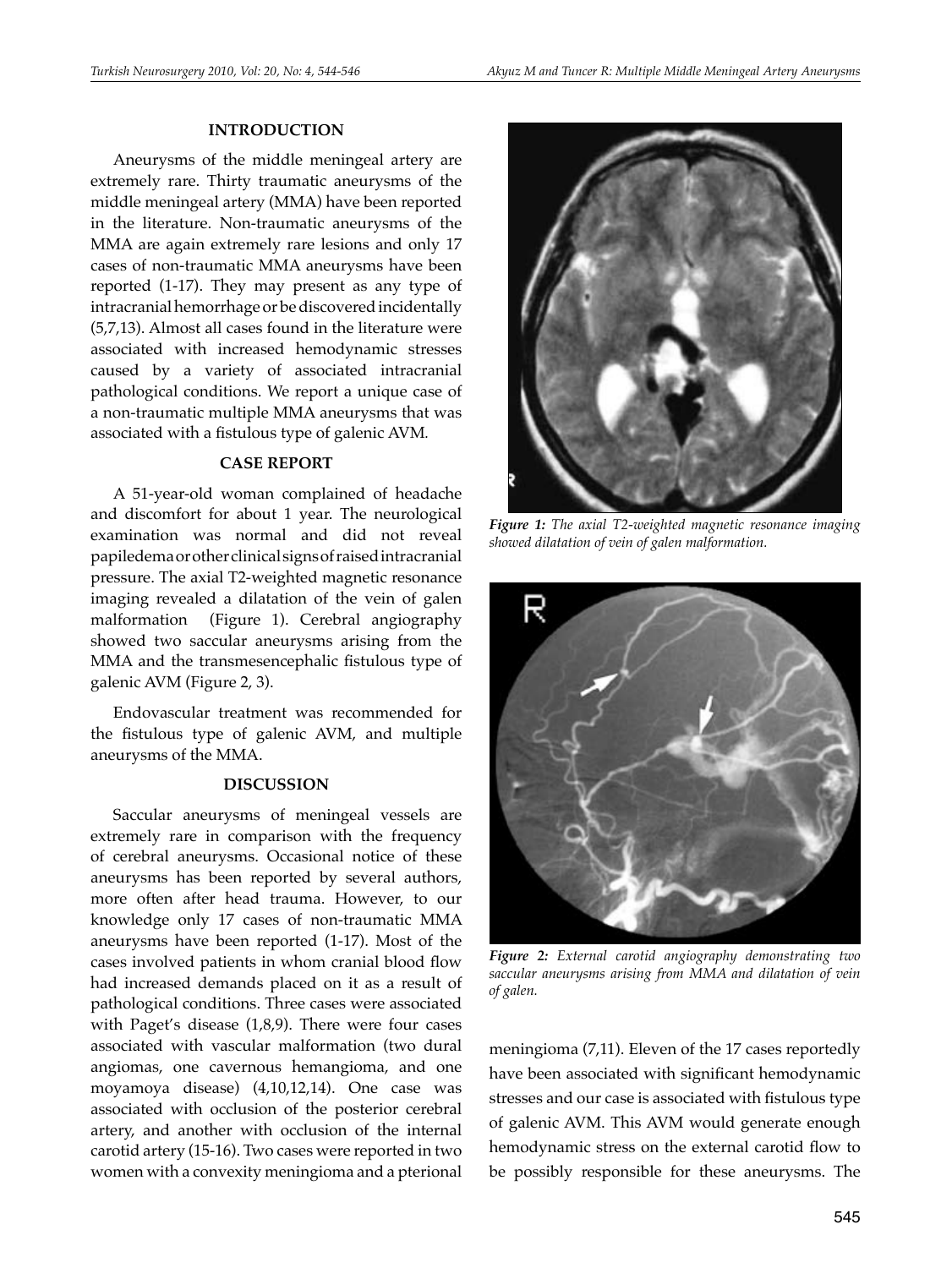### **INTRODUCTION**

Aneurysms of the middle meningeal artery are extremely rare. Thirty traumatic aneurysms of the middle meningeal artery (MMA) have been reported in the literature. Non-traumatic aneurysms of the MMA are again extremely rare lesions and only 17 cases of non-traumatic MMA aneurysms have been reported (1-17). They may present as any type of intracranial hemorrhage or be discovered incidentally (5,7,13). Almost all cases found in the literature were associated with increased hemodynamic stresses caused by a variety of associated intracranial pathological conditions. We report a unique case of a non-traumatic multiple MMA aneurysms that was associated with a fistulous type of galenic AVM*.*

#### **CASE REPORT**

A 51-year-old woman complained of headache and discomfort for about 1 year. The neurological examination was normal and did not reveal papiledema or other clinical signs of raised intracranial pressure. The axial T2-weighted magnetic resonance imaging revealed a dilatation of the vein of galen malformation (Figure 1). Cerebral angiography showed two saccular aneurysms arising from the MMA and the transmesencephalic fistulous type of galenic AVM (Figure 2, 3).

Endovascular treatment was recommended for the fistulous type of galenic AVM, and multiple aneurysms of the MMA.

#### **DISCUSSION**

Saccular aneurysms of meningeal vessels are extremely rare in comparison with the frequency of cerebral aneurysms. Occasional notice of these aneurysms has been reported by several authors, more often after head trauma. However, to our knowledge only 17 cases of non-traumatic MMA aneurysms have been reported (1-17). Most of the cases involved patients in whom cranial blood flow had increased demands placed on it as a result of pathological conditions. Three cases were associated with Paget's disease (1,8,9). There were four cases associated with vascular malformation (two dural angiomas, one cavernous hemangioma, and one moyamoya disease) (4,10,12,14). One case was associated with occlusion of the posterior cerebral artery, and another with occlusion of the internal carotid artery (15-16). Two cases were reported in two women with a convexity meningioma and a pterional



*Figure 1: The axial T2-weighted magnetic resonance imaging showed dilatation of vein of galen malformation.*



*Figure 2: External carotid angiography demonstrating two saccular aneurysms arising from MMA and dilatation of vein of galen.*

meningioma (7,11). Eleven of the 17 cases reportedly have been associated with significant hemodynamic stresses and our case is associated with fistulous type of galenic AVM. This AVM would generate enough hemodynamic stress on the external carotid flow to be possibly responsible for these aneurysms. The